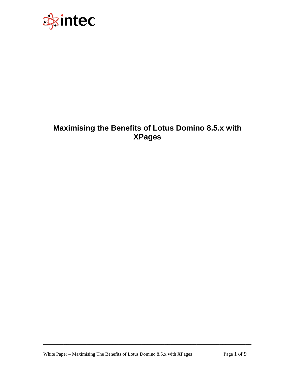

# **Maximising the Benefits of Lotus Domino 8.5.x with XPages**

\_\_\_\_\_\_\_\_\_\_\_\_\_\_\_\_\_\_\_\_\_\_\_\_\_\_\_\_\_\_\_\_\_\_\_\_\_\_\_\_\_\_\_\_\_\_\_\_\_\_\_\_\_\_\_\_\_\_\_\_\_\_\_\_\_\_\_\_\_\_\_\_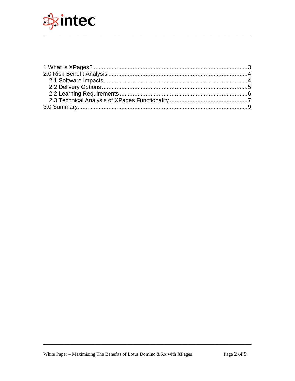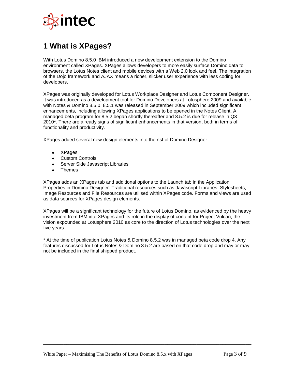

# <span id="page-2-0"></span>**1 What is XPages?**

With Lotus Domino 8.5.0 IBM introduced a new development extension to the Domino environment called XPages. XPages allows developers to more easily surface Domino data to browsers, the Lotus Notes client and mobile devices with a Web 2.0 look and feel. The integration of the Dojo framework and AJAX means a richer, slicker user experience with less coding for developers.

\_\_\_\_\_\_\_\_\_\_\_\_\_\_\_\_\_\_\_\_\_\_\_\_\_\_\_\_\_\_\_\_\_\_\_\_\_\_\_\_\_\_\_\_\_\_\_\_\_\_\_\_\_\_\_\_\_\_\_\_\_\_\_\_\_\_\_\_\_\_\_\_

XPages was originally developed for Lotus Workplace Designer and Lotus Component Designer. It was introduced as a development tool for Domino Developers at Lotusphere 2009 and available with Notes & Domino 8.5.0. 8.5.1 was released in September 2009 which included significant enhancements, including allowing XPages applications to be opened in the Notes Client. A managed beta program for 8.5.2 began shortly thereafter and 8.5.2 is due for release in Q3 2010\*. There are already signs of significant enhancements in that version, both in terms of functionality and productivity.

XPages added several new design elements into the nsf of Domino Designer:

- $\bullet$ **XPages**
- Custom Controls
- Server Side Javascript Libraries
- Themes

XPages adds an XPages tab and additional options to the Launch tab in the Application Properties in Domino Designer. Traditional resources such as Javascript Libraries, Stylesheets, Image Resources and File Resources are utilised within XPages code. Forms and views are used as data sources for XPages design elements.

XPages will be a significant technology for the future of Lotus Domino, as evidenced by the heavy investment from IBM into XPages and its role in the display of content for Project Vulcan, the vision expounded at Lotusphere 2010 as core to the direction of Lotus technologies over the next five years.

\* At the time of publication Lotus Notes & Domino 8.5.2 was in managed beta code drop 4. Any features discussed for Lotus Notes & Domino 8.5.2 are based on that code drop and may or may not be included in the final shipped product.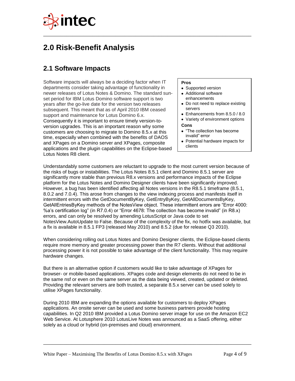

# <span id="page-3-0"></span>**2.0 Risk-Benefit Analysis**

## <span id="page-3-1"></span>**2.1 Software Impacts**

Software impacts will always be a deciding factor when IT departments consider taking advantage of functionality in newer releases of Lotus Notes & Domino. The standard sunset period for IBM Lotus Domino software support is two years after the go-live date for the version two releases subsequent. This meant that as of April 2010 IBM ceased support and maintenance for Lotus Domino 6.x. Consequently it is important to ensure timely version-toversion upgrades. This is an important reason why some customers are choosing to migrate to Domino 8.5.x at this time, especially when combined with the benefits of DAOS and XPages on a Domino server and XPages, composite applications and the plugin capabilities on the Eclipse-based Lotus Notes R8 client.

#### **Pros**

- Supported version
- Additional software enhancements
- Do not need to replace existing servers
- Enhancements from 8.5.0 / 8.0
- Variety of environment options

#### **Cons**

- "The collection has become invalid" error
- Potential hardware impacts for clients

Understandably some customers are reluctant to upgrade to the most current version because of the risks of bugs or instabilities. The Lotus Notes 8.5.1 client and Domino 8.5.1 server are significantly more stable than previous R8.x versions and performance impacts of the Eclipse platform for the Lotus Notes and Domino Designer clients have been significantly improved. However, a bug has been identified affecting all Notes versions in the R8.5.1 timeframe (8.5.1, 8.0.2 and 7.0.4). This arose from changes to the view indexing process and manifests itself in intermittent errors with the GetDocumentByKey, GetEntryByKey, GetAllDocumentsByKey, GetAllEntriesByKey methods of the NotesView object. These intermittent errors are "Error 4000: %a"s certification log" (in R7.0.4) or "Error 4678: The collection has become invalid" (in R8.x) errors, and can only be resolved by amending LotusScript or Java code to set NotesView.AutoUpdate to False. Because of the complexity of the fix, no hotfix was available, but a fix is available in 8.5.1 FP3 (released May 2010) and 8.5.2 (due for release Q3 2010).

\_\_\_\_\_\_\_\_\_\_\_\_\_\_\_\_\_\_\_\_\_\_\_\_\_\_\_\_\_\_\_\_\_\_\_\_\_\_\_\_\_\_\_\_\_\_\_\_\_\_\_\_\_\_\_\_\_\_\_\_\_\_\_\_\_\_\_\_\_\_\_\_

When considering rolling out Lotus Notes and Domino Designer clients, the Eclipse-based clients require more memory and greater processing power than the R7 clients. Without that additional processing power it is not possible to take advantage of the client functionality. This may require hardware changes.

But there is an alternative option if customers would like to take advantage of XPages for browser- or mobile-based applications. XPages code and design elements do not need to be in the same nsf or even on the same server as the data being viewed, created, updated or deleted. Providing the relevant servers are both trusted, a separate 8.5.x server can be used solely to utilise XPages functionality.

During 2010 IBM are expanding the options available for customers to deploy XPages applications. An onsite server can be used and some business partners provide hosting capabilities. In Q2 2010 IBM provided a Lotus Domino server image for use on the Amazon EC2 Web Service. At Lotusphere 2010 LotusLive Notes was announced as a SaaS offering, either solely as a cloud or hybrid (on-premises and cloud) environment.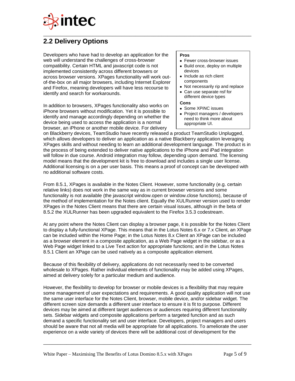

### <span id="page-4-0"></span>**2.2 Delivery Options**

Developers who have had to develop an application for the web will understand the challenges of cross-browser compatibility. Certain HTML and javascript code is not implemented consistently across different browsers or across browser versions. XPages functionality will work outof-the-box on all major browsers, including Internet Explorer and Firefox, meaning developers will have less recourse to identify and search for workarounds.

In addition to browsers, XPages functionality also works on iPhone browsers without modification. Yet it is possible to identify and manage accordingly depending on whether the device being used to access the application is a normal browser, an iPhone or another mobile device. For delivery

### **Pros**

- Fewer cross-browser issues
- Build once, deploy on multiple devices
- Include as rich client components
- Not necessarily rip and replace
- Can use separate nsf for different device types

#### **Cons**

- Some XPiNC issues
- Project managers / developers need to think more about appropriate UI.

on Blackberry devices, TeamStudio have recently released a product TeamStudio Unplugged. which allows developers to deliver an application as a native Blackberry application leveraging XPages skills and without needing to learn an additional development language. The product is in the process of being extended to deliver native applications to the iPhone and iPad integration will follow in due course. Android integration may follow, depending upon demand. The licensing model means that the development kit is free to download and includes a single user license. Additional licensing is on a per user basis. This means a proof of concept can be developed with no additional software costs.

\_\_\_\_\_\_\_\_\_\_\_\_\_\_\_\_\_\_\_\_\_\_\_\_\_\_\_\_\_\_\_\_\_\_\_\_\_\_\_\_\_\_\_\_\_\_\_\_\_\_\_\_\_\_\_\_\_\_\_\_\_\_\_\_\_\_\_\_\_\_\_\_

From 8.5.1, XPages is available in the Notes Client. However, some functionality (e.g. certain relative links) does not work in the same way as in current browser versions and some functionality is not available (the javascript window.open or window.close functions), because of the method of implementation for the Notes client. Equally the XULRunner version used to render XPages in the Notes Client means that there are certain visual issues, although in the beta of 8.5.2 the XULRunner has been upgraded equivalent to the Firefox 3.5.3 codestream.

At any point where the Notes Client can display a browser page, it is possible for the Notes Client to display a fully-functional XPage. This means that in the Lotus Notes 6.x or 7.x Client, an XPage can be included within the Home Page; in the Lotus Notes 8.x Client an XPage can be included as a browser element in a composite application, as a Web Page widget in the sidebar, or as a Web Page widget linked to a Live Text action for appropriate functions; and in the Lotus Notes 8.5.1 Client an XPage can be used natively as a composite application element.

Because of this flexibility of delivery, applications do not necessarily need to be converted wholesale to XPages. Rather individual elements of functionality may be added using XPages, aimed at delivery solely for a particular medium and audience.

However, the flexibility to develop for browser or mobile devices is a flexibility that may require some management of user expectations and requirements. A good quality application will not use the same user interface for the Notes Client, browser, mobile device, and/or sidebar widget. The different screen size demands a different user interface to ensure it is fit to purpose. Different devices may be aimed at different target audiences or audiences requiring different functionality sets. Sidebar widgets and composite applications perform a targeted function and as such demand a specific functionality set and user interface. Developers, project managers and users should be aware that not all media will be appropriate for all applications. To ameliorate the user experience on a wide variety of devices there will be additional cost of development for the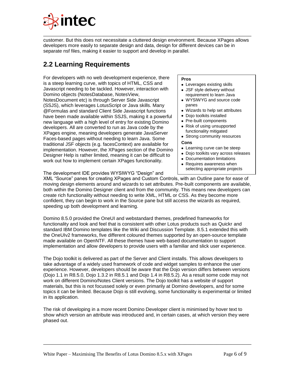

customer. But this does not necessitate a cluttered design environment. Because XPages allows developers more easily to separate design and data, design for different devices can be in separate nsf files, making it easier to support and develop in parallel.

\_\_\_\_\_\_\_\_\_\_\_\_\_\_\_\_\_\_\_\_\_\_\_\_\_\_\_\_\_\_\_\_\_\_\_\_\_\_\_\_\_\_\_\_\_\_\_\_\_\_\_\_\_\_\_\_\_\_\_\_\_\_\_\_\_\_\_\_\_\_\_\_

## <span id="page-5-0"></span>**2.2 Learning Requirements**

For developers with no web development experience, there is a steep learning curve, with topics of HTML, CSS and Javascript needing to be tackled. However, interaction with Domino objects (NotesDatabase, NotesView, NotesDocument etc) is through Server Side Javascript (SSJS), which leverages LotusScript or Java skills. Many @Formulas and standard Client Side Javascript functions have been made available within SSJS, making it a powerful new language with a high level of entry for existing Domino developers. All are converted to run as Java code by the XPages engine, meaning developers generate JavaServer Faces-based pages without needing to learn Java. Some traditional JSF objects (e.g. facesContext) are available for implementation. However, the XPages section of the Domino Designer Help is rather limited, meaning it can be difficult to work out how to implement certain XPages functionality.

#### **Pros**

- Leverages existing skills JSF style delivery without
- requirement to learn Java WYSIWYG and source code
- panes
- Wizards to help set attributes
- Dojo toolkits installed
- Pre-built components
- Risk of using unsupported functionality mitigated
- Strong community resources

### **Cons**

- Learning curve can be steep
- Dojo toolkits vary across releases
- Documentation limitations
- Requires awareness when selecting appropriate projects

The development IDE provides WYSIWYG "Design" and

XML "Source" panes for creating XPages and Custom Controls, with an Outline pane for ease of moving design elements around and wizards to set attributes. Pre-built components are available, both within the Domino Designer client and from the community. This means new developers can create rich functionality without needing to write XML, HTML or CSS. As they become more confident, they can begin to work in the Source pane but still access the wizards as required, speeding up both development and learning.

Domino 8.5.0 provided the OneUI and webstandard themes, predefined frameworks for functionality and look and feel that is consistent with other Lotus products such as Quickr and standard IBM Domino templates like the Wiki and Discussion Template. 8.5.1 extended this with the OneUIv2 frameworks, five different coloured themes supported by an open-source template made available on OpenNTF. All these themes have web-based documentation to support implementation and allow developers to provide users with a familiar and slick user experience.

The Dojo toolkit is delivered as part of the Server and Client installs. This allows developers to take advantage of a widely used framework of code and widget samples to enhance the user experience. However, developers should be aware that the Dojo version differs between versions (Dojo 1.1 in R8.5.0, Dojo 1.3.2 in R8.5.1 and Dojo 1.4 in R8.5.2). As a result some code may not work on different Domino/Notes Client versions. The Dojo toolkit has a website of support materials, but this is not focussed solely or even primarily at Domino developers, and for some topics it can be limited. Because Dojo is still evolving, some functionality is experimental or limited in its application.

The risk of developing in a more recent Domino Developer client is minimised by hover text to show which version an attribute was introduced and, in certain cases, at which version they were phased out.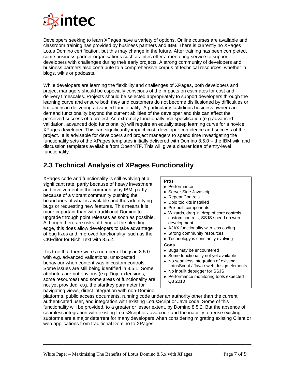

Developers seeking to learn XPages have a variety of options. Online courses are available and classroom training has provided by business partners and IBM. There is currently no XPages Lotus Domino certification, but this may change in the future. After training has been completed, some business partner organisations such as Intec offer a mentoring service to support developers with challenges during their early projects. A strong community of developers and business partners also contribute to a comprehensive corpus of technical resources, whether in blogs, wikis or podcasts.

While developers are learning the flexibility and challenges of XPages, both developers and project managers should be especially conscious of the impacts on estimates for cost and delivery timescales. Projects should be selected appropriately to support developers through the learning curve and ensure both they and customers do not become disillusioned by difficulties or limitations in delivering advanced functionality. A particularly fastidious business owner can demand functionality beyond the current abilities of the developer and this can affect the perceived success of a project. An extremely functionally rich specification (e.g advanced validation, advanced dojo functionality) will require an equally steep learning curve for a novice XPages developer. This can significantly impact cost, developer confidence and success of the project. It is advisable for developers and project managers to spend time investigating the functionality sets of the XPages templates initially delivered with Domino 8.5.0 – the IBM wiki and discussion templates available from OpenNTF. This will give a clearer idea of entry-level functionality.

## <span id="page-6-0"></span>**2.3 Technical Analysis of XPages Functionality**

XPages code and functionality is still evolving at a significant rate, partly because of heavy investment and involvement in the community by IBM, partly because of a vibrant community pushing the boundaries of what is available and thus identifying bugs or requesting new features. This means it is more important than with traditional Domino to upgrade through point releases as soon as possible. Although there are risks of being at the bleeding edge, this does allow developers to take advantage of bug fixes and improved functionality, such as the CKEditor for Rich Text with 8.5.2.

It is true that there were a number of bugs in 8.5.0 with e.g. advanced validations, unexpected behaviour when content was in custom controls. Some issues are still being identified in 8.5.1. Some attributes are not obvious (e.g. Dojo extensions, some resources) and some areas of functionality are not yet provided, e.g. the startkey parameter for navigating views, direct integration with non-Domino

### **Pros**

- Performance
- Server Side Javascript
- Repeat Controls
- Doio toolkits installed
- Pre-built components
- Wizards, drag "n" drop of core controls, custom controls, SSJS speed up web development
- AJAX functionality with less coding
- Strong community resources
- Technology is constantly evolving
- **Cons**
- Bugs may be encountered
- Some functionality not yet available
- No seamless integration of existing LotusScript / Java / web design elements
- No inbuilt debugger for SSJS
- Performance monitoring tools expected Q3 2010

platforms, public access documents, running code under an authority other than the current authenticated user, and integration with existing LotusScript or Java code. Some of this functionality will be provided, to a greater or lesser extent, by Domino 8.5.2. But the absence of seamless integration with existing LotusScript or Java code and the inability to reuse existing subforms are a major deterrent for many developers when considering migrating existing Client or web applications from traditional Domino to XPages.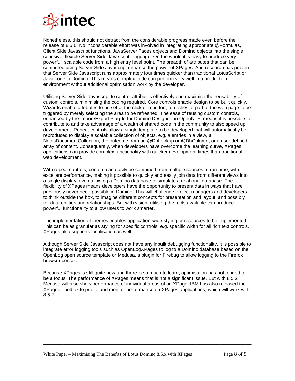

Nonetheless, this should not detract from the considerable progress made even before the release of 8.5.0. No inconsiderable effort was involved in integrating appropriate @Formulas, Client Side Javascript functions, JavaServer Faces objects and Domino objects into the single cohesive, flexible Server Side Javascript language. On the whole it is easy to produce very powerful, scalable code from a high entry level point. The breadth of attributes that can be computed using Server Side Javascript enhance the power of XPages. And research has proven that Server Side Javascript runs approximately four times quicker than traditional LotusScript or Java code in Domino. This means complex code can perform very well in a production environment without additional optimisation work by the developer.

Utilising Server Side Javascript to control attributes effectively can maximise the reusability of custom controls, minimising the coding required. Core controls enable design to be built quickly. Wizards enable attributes to be set at the click of a button, refreshes of part of the web page to be triggered by merely selecting the area to be refreshed. The ease of reusing custom controls, enhanced by the Import/Export Plug-In for Domino Designer on OpenNTF, means it is possible to contribute to and take advantage of a wealth of shared code in the community to also speed up development. Repeat controls allow a single template to be developed that will automatically be reproduced to display a scalable collection of objects, e.g. a entries in a view, a NotesDocumentCollection, the outcome from an @DbLookup or @DbColumn, or a user defined array of content. Consequently, when developers have overcome the learning curve, XPages applications can provide complex functionality with quicker development times than traditional web development.

With repeat controls, content can easily be combined from multiple sources at run-time, with excellent performance, making it possible to quickly and easily join data from different views into a single display, even allowing a Domino database to simulate a relational database. The flexibility of XPages means developers have the opportunity to present data in ways that have previously never been possible in Domino. This will challenge project managers and developers to think outside the box, to imagine different concepts for presentation and layout, and possibly for data entities and relationships. But with vision, utilising the tools available can produce powerful functionality to allow users to work smarter.

The implementation of themes enables application-wide styling or resources to be implemented. This can be as granular as styling for specific controls, e.g. specific width for all rich text controls. XPages also supports localisation as well.

Although Server Side Javascript does not have any inbuilt debugging functionality, it is possible to integrate error logging tools such as OpenLogXPages to log to a Domino database based on the OpenLog open source template or Medusa, a plugin for Firebug to allow logging to the Firefox browser console.

Because XPages is still quite new and there is so much to learn, optimisation has not tended to be a focus. The performance of XPages means that is not a significant issue. But with 8.5.2 Medusa will also show performance of individual areas of an XPage. IBM has also released the XPages Toolbox to profile and monitor performance on XPages applications, which will work with 8.5.2.